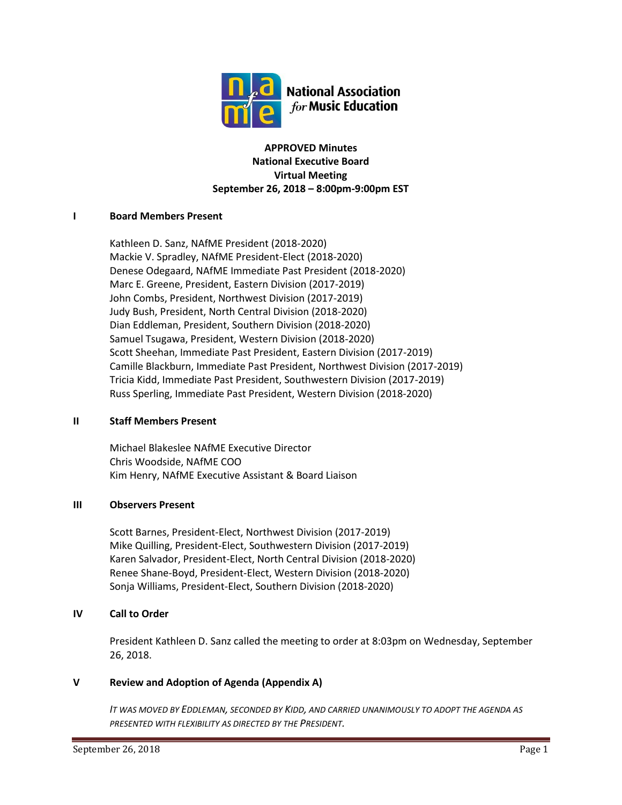

## **APPROVED Minutes National Executive Board Virtual Meeting September 26, 2018 – 8:00pm-9:00pm EST**

## **I Board Members Present**

Kathleen D. Sanz, NAfME President (2018-2020) Mackie V. Spradley, NAfME President-Elect (2018-2020) Denese Odegaard, NAfME Immediate Past President (2018-2020) Marc E. Greene, President, Eastern Division (2017-2019) John Combs, President, Northwest Division (2017-2019) Judy Bush, President, North Central Division (2018-2020) Dian Eddleman, President, Southern Division (2018-2020) Samuel Tsugawa, President, Western Division (2018-2020) Scott Sheehan, Immediate Past President, Eastern Division (2017-2019) Camille Blackburn, Immediate Past President, Northwest Division (2017-2019) Tricia Kidd, Immediate Past President, Southwestern Division (2017-2019) Russ Sperling, Immediate Past President, Western Division (2018-2020)

## **II Staff Members Present**

Michael Blakeslee NAfME Executive Director Chris Woodside, NAfME COO Kim Henry, NAfME Executive Assistant & Board Liaison

## **III Observers Present**

Scott Barnes, President-Elect, Northwest Division (2017-2019) Mike Quilling, President-Elect, Southwestern Division (2017-2019) Karen Salvador, President-Elect, North Central Division (2018-2020) Renee Shane-Boyd, President-Elect, Western Division (2018-2020) Sonja Williams, President-Elect, Southern Division (2018-2020)

## **IV Call to Order**

President Kathleen D. Sanz called the meeting to order at 8:03pm on Wednesday, September 26, 2018.

## **V Review and Adoption of Agenda (Appendix A)**

*IT WAS MOVED BY EDDLEMAN, SECONDED BY KIDD, AND CARRIED UNANIMOUSLY TO ADOPT THE AGENDA AS PRESENTED WITH FLEXIBILITY AS DIRECTED BY THE PRESIDENT.*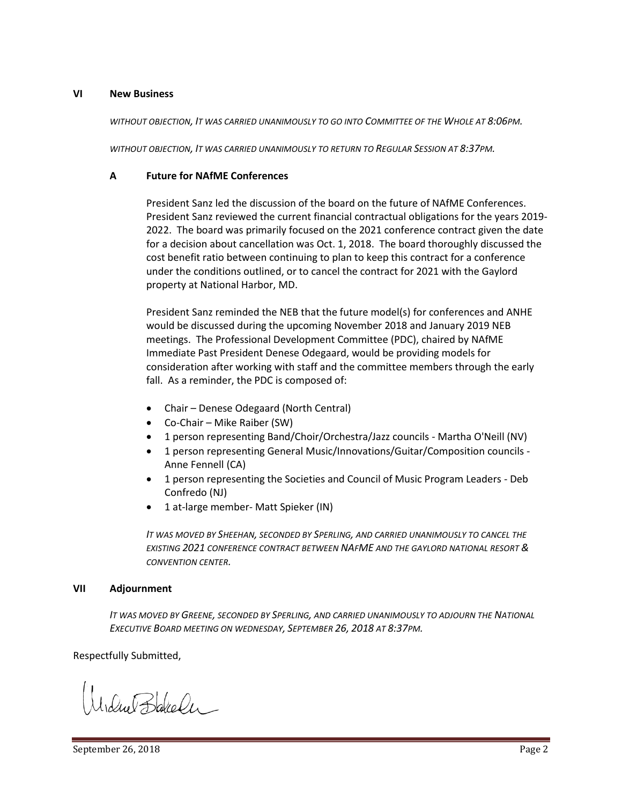#### **VI New Business**

*WITHOUT OBJECTION, IT WAS CARRIED UNANIMOUSLY TO GO INTO COMMITTEE OF THE WHOLE AT 8:06PM.*

*WITHOUT OBJECTION, IT WAS CARRIED UNANIMOUSLY TO RETURN TO REGULAR SESSION AT 8:37PM.*

## **A Future for NAfME Conferences**

President Sanz led the discussion of the board on the future of NAfME Conferences. President Sanz reviewed the current financial contractual obligations for the years 2019- 2022. The board was primarily focused on the 2021 conference contract given the date for a decision about cancellation was Oct. 1, 2018. The board thoroughly discussed the cost benefit ratio between continuing to plan to keep this contract for a conference under the conditions outlined, or to cancel the contract for 2021 with the Gaylord property at National Harbor, MD.

President Sanz reminded the NEB that the future model(s) for conferences and ANHE would be discussed during the upcoming November 2018 and January 2019 NEB meetings. The Professional Development Committee (PDC), chaired by NAfME Immediate Past President Denese Odegaard, would be providing models for consideration after working with staff and the committee members through the early fall. As a reminder, the PDC is composed of:

- Chair Denese Odegaard (North Central)
- Co-Chair Mike Raiber (SW)
- 1 person representing Band/Choir/Orchestra/Jazz councils Martha O'Neill (NV)
- 1 person representing General Music/Innovations/Guitar/Composition councils Anne Fennell (CA)
- 1 person representing the Societies and Council of Music Program Leaders Deb Confredo (NJ)
- 1 at-large member- Matt Spieker (IN)

*IT WAS MOVED BY SHEEHAN, SECONDED BY SPERLING, AND CARRIED UNANIMOUSLY TO CANCEL THE EXISTING 2021 CONFERENCE CONTRACT BETWEEN NAFME AND THE GAYLORD NATIONAL RESORT & CONVENTION CENTER.*

#### **VII Adjournment**

*IT WAS MOVED BY GREENE, SECONDED BY SPERLING, AND CARRIED UNANIMOUSLY TO ADJOURN THE NATIONAL EXECUTIVE BOARD MEETING ON WEDNESDAY, SEPTEMBER 26, 2018 AT 8:37PM.*

Respectfully Submitted,

MidnetBlakeler -

September 26, 2018 **Page 2**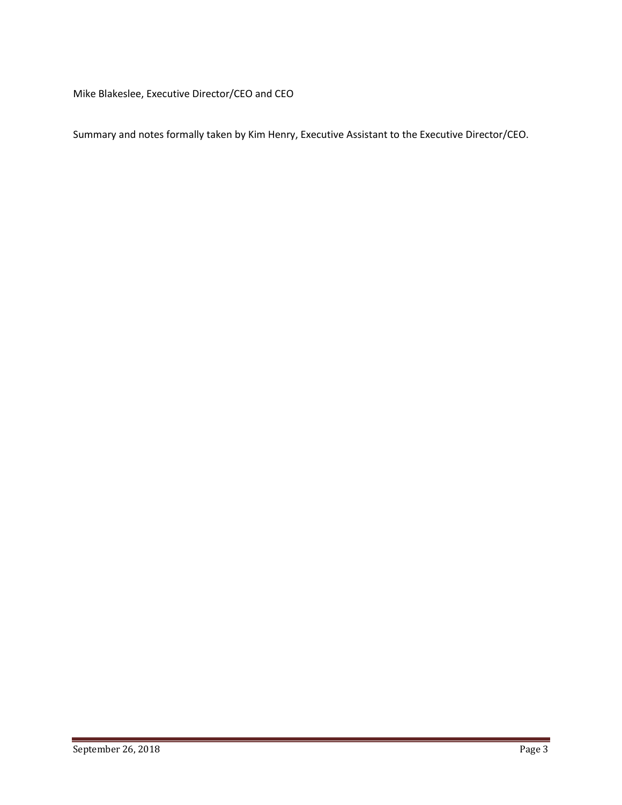Mike Blakeslee, Executive Director/CEO and CEO

Summary and notes formally taken by Kim Henry, Executive Assistant to the Executive Director/CEO.